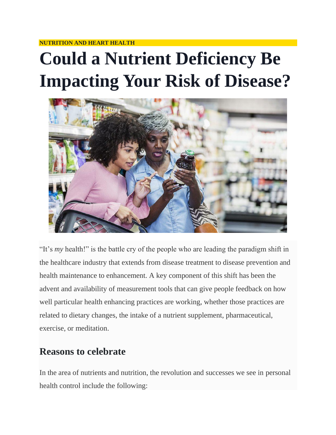#### **NUTRITION AND HEART HEALTH**

# **Could a Nutrient Deficiency Be Impacting Your Risk of Disease?**



"It's *my* health!" is the battle cry of the people who are leading the paradigm shift in the healthcare industry that extends from disease treatment to disease prevention and health maintenance to enhancement. A key component of this shift has been the advent and availability of measurement tools that can give people feedback on how well particular health enhancing practices are working, whether those practices are related to dietary changes, the intake of a nutrient supplement, pharmaceutical, exercise, or meditation.

### **Reasons to celebrate**

In the area of nutrients and nutrition, the revolution and successes we see in personal health control include the following: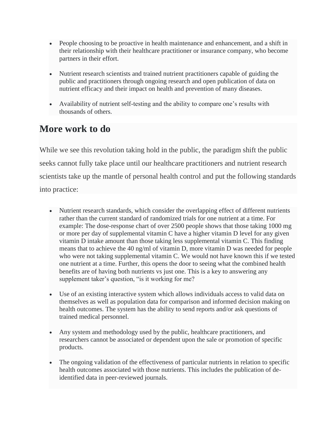- People choosing to be proactive in health maintenance and enhancement, and a shift in their relationship with their healthcare practitioner or insurance company, who become partners in their effort.
- Nutrient research scientists and trained nutrient practitioners capable of guiding the public and practitioners through ongoing research and open publication of data on nutrient efficacy and their impact on health and prevention of many diseases.
- Availability of nutrient self-testing and the ability to compare one's results with thousands of others.

## **More work to do**

While we see this revolution taking hold in the public, the paradigm shift the public seeks cannot fully take place until our healthcare practitioners and nutrient research scientists take up the mantle of personal health control and put the following standards into practice:

- Nutrient research standards, which consider the overlapping effect of different nutrients rather than the current standard of randomized trials for one nutrient at a time. For example: The dose-response chart of over 2500 people shows that those taking 1000 mg or more per day of supplemental vitamin C have a higher vitamin D level for any given vitamin D intake amount than those taking less supplemental vitamin C. This finding means that to achieve the 40 ng/ml of vitamin D, more vitamin D was needed for people who were not taking supplemental vitamin C. We would not have known this if we tested one nutrient at a time. Further, this opens the door to seeing what the combined health benefits are of having both nutrients vs just one. This is a key to answering any supplement taker's question, "is it working for me?
- Use of an existing interactive system which allows individuals access to valid data on themselves as well as population data for comparison and informed decision making on health outcomes. The system has the ability to send reports and/or ask questions of trained medical personnel.
- Any system and methodology used by the public, healthcare practitioners, and researchers cannot be associated or dependent upon the sale or promotion of specific products.
- The ongoing validation of the effectiveness of particular nutrients in relation to specific health outcomes associated with those nutrients. This includes the publication of deidentified data in peer-reviewed journals.